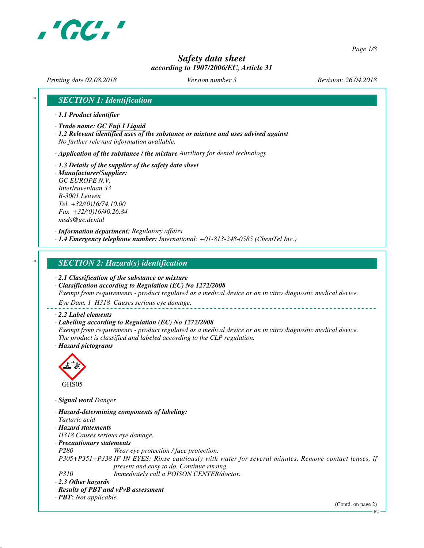

*Page 1/8*

# *Safety data sheet according to 1907/2006/EC, Article 31*

*Printing date 02.08.2018 Version number 3 Revision: 26.04.2018*

## *\* SECTION 1: Identification*

- *· 1.1 Product identifier*
- *· Trade name: GC Fuji I Liquid*
- *· 1.2 Relevant identified uses of the substance or mixture and uses advised against No further relevant information available.*

*· Application of the substance / the mixture Auxiliary for dental technology*

- *· 1.3 Details of the supplier of the safety data sheet*
- *· Manufacturer/Supplier: GC EUROPE N.V. Interleuvenlaan 33 B-3001 Leuven Tel. +32/(0)16/74.10.00 Fax +32/(0)16/40.26.84 msds@gc.dental*

*· Information department: Regulatory affairs · 1.4 Emergency telephone number: International: +01-813-248-0585 (ChemTel Inc.)*

### *\* SECTION 2: Hazard(s) identification*

*· 2.1 Classification of the substance or mixture*

*· Classification according to Regulation (EC) No 1272/2008 Exempt from requirements - product regulated as a medical device or an in vitro diagnostic medical device.*

*Eye Dam. 1 H318 Causes serious eye damage.*

#### *· 2.2 Label elements*

#### *· Labelling according to Regulation (EC) No 1272/2008*

*Exempt from requirements - product regulated as a medical device or an in vitro diagnostic medical device. The product is classified and labeled according to the CLP regulation. · Hazard pictograms*



*· Signal word Danger*

*· Hazard-determining components of labeling: Tartaric acid · Hazard statements H318 Causes serious eye damage. · Precautionary statements P280 Wear eye protection / face protection. P305+P351+P338 IF IN EYES: Rinse cautiously with water for several minutes. Remove contact lenses, if present and easy to do. Continue rinsing. P310 Immediately call a POISON CENTER/doctor. · 2.3 Other hazards · Results of PBT and vPvB assessment · PBT: Not applicable.*

(Contd. on page 2)

EU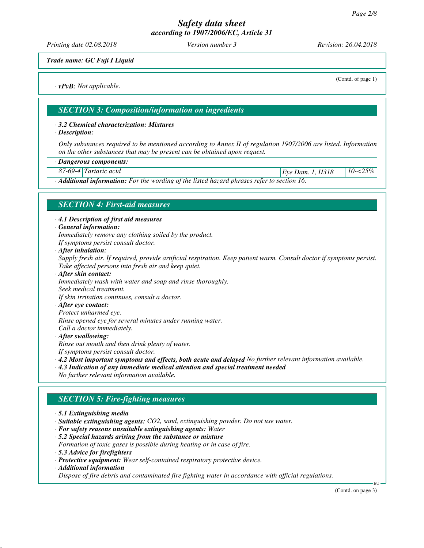*Printing date 02.08.2018 Version number 3 Revision: 26.04.2018*

*Trade name: GC Fuji I Liquid*

*· vPvB: Not applicable.*

(Contd. of page 1)

*SECTION 3: Composition/information on ingredients*

### *· 3.2 Chemical characterization: Mixtures*

*· Description:*

*Only substances required to be mentioned according to Annex II of regulation 1907/2006 are listed. Information on the other substances that may be present can be obtained upon request.*

*· Dangerous components:*

*87-69-4 Tartaric acid Eye Dam. 1, H318 10-<25%*

*· Additional information: For the wording of the listed hazard phrases refer to section 16.*

### *SECTION 4: First-aid measures*

*· 4.1 Description of first aid measures*

*· General information:*

*Immediately remove any clothing soiled by the product.*

- *If symptoms persist consult doctor.*
- *· After inhalation:*

*Supply fresh air. If required, provide artificial respiration. Keep patient warm. Consult doctor if symptoms persist. Take affected persons into fresh air and keep quiet.*

*· After skin contact: Immediately wash with water and soap and rinse thoroughly. Seek medical treatment. If skin irritation continues, consult a doctor.*

#### *· After eye contact:*

*Protect unharmed eye.*

*Rinse opened eye for several minutes under running water.*

- *Call a doctor immediately.*
- *· After swallowing:*

*Rinse out mouth and then drink plenty of water.*

- *If symptoms persist consult doctor.*
- *· 4.2 Most important symptoms and effects, both acute and delayed No further relevant information available.*
- *· 4.3 Indication of any immediate medical attention and special treatment needed*
- *No further relevant information available.*

### *SECTION 5: Fire-fighting measures*

- *· 5.1 Extinguishing media*
- *· Suitable extinguishing agents: CO2, sand, extinguishing powder. Do not use water.*
- *· For safety reasons unsuitable extinguishing agents: Water*
- *· 5.2 Special hazards arising from the substance or mixture Formation of toxic gases is possible during heating or in case of fire.*
- *· 5.3 Advice for firefighters*
- *· Protective equipment: Wear self-contained respiratory protective device.*
- *· Additional information*

*Dispose of fire debris and contaminated fire fighting water in accordance with official regulations.*

(Contd. on page 3)

EU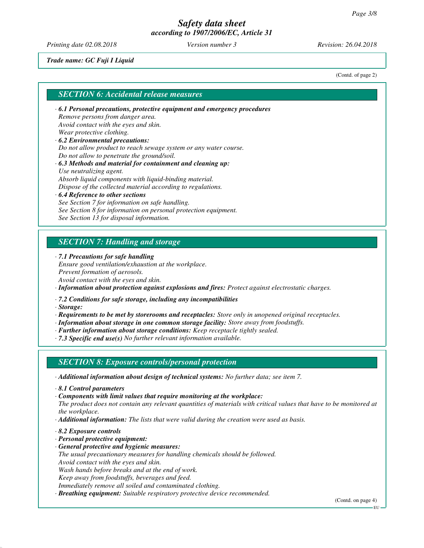*Printing date 02.08.2018 Version number 3 Revision: 26.04.2018*

*Trade name: GC Fuji I Liquid*

(Contd. of page 2)

### *SECTION 6: Accidental release measures*

- *· 6.1 Personal precautions, protective equipment and emergency procedures Remove persons from danger area. Avoid contact with the eyes and skin. Wear protective clothing. · 6.2 Environmental precautions:*
- *Do not allow product to reach sewage system or any water course. Do not allow to penetrate the ground/soil.*
- *· 6.3 Methods and material for containment and cleaning up: Use neutralizing agent. Absorb liquid components with liquid-binding material. Dispose of the collected material according to regulations.*
- *· 6.4 Reference to other sections See Section 7 for information on safe handling. See Section 8 for information on personal protection equipment. See Section 13 for disposal information.*

### *SECTION 7: Handling and storage*

*· 7.1 Precautions for safe handling*

*Ensure good ventilation/exhaustion at the workplace. Prevent formation of aerosols. Avoid contact with the eyes and skin.*

*· Information about protection against explosions and fires: Protect against electrostatic charges.*

*· 7.2 Conditions for safe storage, including any incompatibilities*

*· Storage:*

- *· Requirements to be met by storerooms and receptacles: Store only in unopened original receptacles.*
- *· Information about storage in one common storage facility: Store away from foodstuffs.*
- *· Further information about storage conditions: Keep receptacle tightly sealed.*
- *· 7.3 Specific end use(s) No further relevant information available.*

### *SECTION 8: Exposure controls/personal protection*

*· Additional information about design of technical systems: No further data; see item 7.*

- *· 8.1 Control parameters*
- *· Components with limit values that require monitoring at the workplace:*
- *The product does not contain any relevant quantities of materials with critical values that have to be monitored at the workplace.*
- *· Additional information: The lists that were valid during the creation were used as basis.*
- *· 8.2 Exposure controls*
- *· Personal protective equipment:*
- *· General protective and hygienic measures:*
- *The usual precautionary measures for handling chemicals should be followed. Avoid contact with the eyes and skin.*
- *Wash hands before breaks and at the end of work.*
- *Keep away from foodstuffs, beverages and feed.*
- *Immediately remove all soiled and contaminated clothing.*
- *· Breathing equipment: Suitable respiratory protective device recommended.*

EU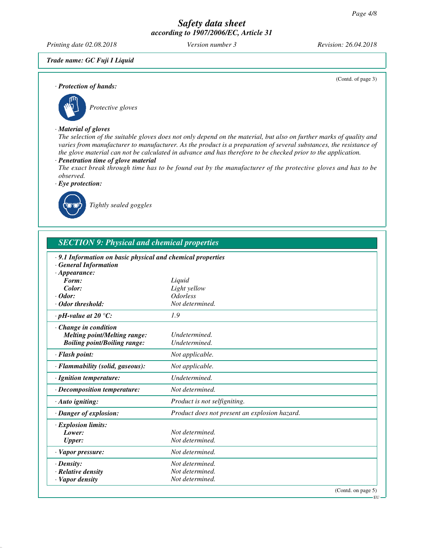*Printing date 02.08.2018 Version number 3 Revision: 26.04.2018*

(Contd. of page 3)

*Trade name: GC Fuji I Liquid*

*· Protection of hands:*



# *Protective gloves*

#### *· Material of gloves*

*The selection of the suitable gloves does not only depend on the material, but also on further marks of quality and varies from manufacturer to manufacturer. As the product is a preparation of several substances, the resistance of the glove material can not be calculated in advance and has therefore to be checked prior to the application.*

### *· Penetration time of glove material*

*The exact break through time has to be found out by the manufacturer of the protective gloves and has to be observed.*

*· Eye protection:*



*Tightly sealed goggles*

| <b>SECTION 9: Physical and chemical properties</b>          |                                               |  |  |  |
|-------------------------------------------------------------|-----------------------------------------------|--|--|--|
| · 9.1 Information on basic physical and chemical properties |                                               |  |  |  |
| <b>General Information</b><br>$\cdot$ Appearance:           |                                               |  |  |  |
| Form:                                                       | Liquid                                        |  |  |  |
| Color:                                                      | Light yellow                                  |  |  |  |
| $\cdot$ Odor:                                               | <b>Odorless</b>                               |  |  |  |
| · Odor threshold:                                           | Not determined.                               |  |  |  |
| $\cdot$ pH-value at 20 $\degree$ C:                         | 1.9                                           |  |  |  |
| Change in condition                                         |                                               |  |  |  |
| <b>Melting point/Melting range:</b>                         | Undetermined.                                 |  |  |  |
| <b>Boiling point/Boiling range:</b>                         | Undetermined.                                 |  |  |  |
| · Flash point:                                              | Not applicable.                               |  |  |  |
| · Flammability (solid, gaseous):                            | Not applicable.                               |  |  |  |
| · Ignition temperature:                                     | Undetermined.                                 |  |  |  |
| · Decomposition temperature:                                | Not determined.                               |  |  |  |
| · Auto igniting:                                            | Product is not selfigniting.                  |  |  |  |
| · Danger of explosion:                                      | Product does not present an explosion hazard. |  |  |  |
| · Explosion limits:                                         |                                               |  |  |  |
| Lower:                                                      | Not determined.                               |  |  |  |
| <b>Upper:</b>                                               | Not determined.                               |  |  |  |
| · Vapor pressure:                                           | Not determined.                               |  |  |  |
| $\cdot$ Density:                                            | Not determined.                               |  |  |  |
| $\cdot$ Relative density                                    | Not determined.                               |  |  |  |
| · Vapor density                                             | Not determined.                               |  |  |  |

EU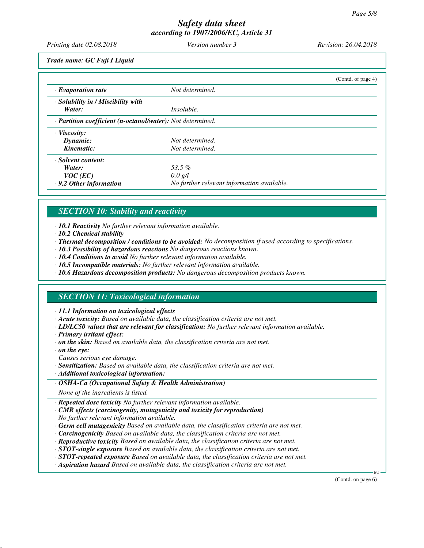*Printing date 02.08.2018 Version number 3 Revision: 26.04.2018*

*Trade name: GC Fuji I Liquid*

|                                                            |                                            | (Contd. of page 4) |
|------------------------------------------------------------|--------------------------------------------|--------------------|
| $\cdot$ Evaporation rate                                   | Not determined.                            |                    |
| · Solubility in / Miscibility with                         |                                            |                    |
| Water:                                                     | <i>Insoluble.</i>                          |                    |
| · Partition coefficient (n-octanol/water): Not determined. |                                            |                    |
| · Viscosity:                                               |                                            |                    |
| Dynamic:                                                   | Not determined.                            |                    |
| Kinematic:                                                 | Not determined.                            |                    |
| · Solvent content:                                         |                                            |                    |
| Water:                                                     | 53.5 $%$                                   |                    |
| $VOC$ (EC)                                                 | $0.0 \text{ g/l}$                          |                    |
| $\cdot$ 9.2 Other information                              | No further relevant information available. |                    |

# *SECTION 10: Stability and reactivity*

*· 10.1 Reactivity No further relevant information available.*

- *· 10.2 Chemical stability*
- *· Thermal decomposition / conditions to be avoided: No decomposition if used according to specifications.*
- *· 10.3 Possibility of hazardous reactions No dangerous reactions known.*
- *· 10.4 Conditions to avoid No further relevant information available.*
- *· 10.5 Incompatible materials: No further relevant information available.*
- *· 10.6 Hazardous decomposition products: No dangerous decomposition products known.*

## *SECTION 11: Toxicological information*

*· 11.1 Information on toxicological effects*

- *· Acute toxicity: Based on available data, the classification criteria are not met.*
- *· LD/LC50 values that are relevant for classification: No further relevant information available.*
- *· Primary irritant effect:*
- *· on the skin: Based on available data, the classification criteria are not met.*
- *· on the eye:*

*Causes serious eye damage.*

- *· Sensitization: Based on available data, the classification criteria are not met.*
- *· Additional toxicological information:*

### *· OSHA-Ca (Occupational Safety & Health Administration)*

*None of the ingredients is listed.*

*· Repeated dose toxicity No further relevant information available.*

- *· CMR effects (carcinogenity, mutagenicity and toxicity for reproduction) No further relevant information available.*
- *· Germ cell mutagenicity Based on available data, the classification criteria are not met.*
- *· Carcinogenicity Based on available data, the classification criteria are not met.*
- *· Reproductive toxicity Based on available data, the classification criteria are not met.*
- *· STOT-single exposure Based on available data, the classification criteria are not met.*
- *· STOT-repeated exposure Based on available data, the classification criteria are not met.*
- *· Aspiration hazard Based on available data, the classification criteria are not met.*

(Contd. on page 6)

EU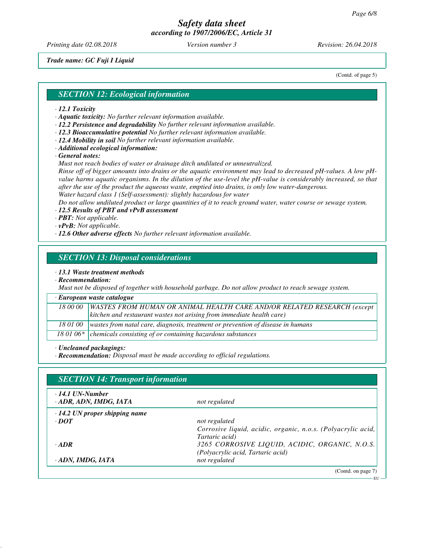*Printing date 02.08.2018 Version number 3 Revision: 26.04.2018*

*Trade name: GC Fuji I Liquid*

(Contd. of page 5)

### *SECTION 12: Ecological information*

- *· 12.1 Toxicity*
- *· Aquatic toxicity: No further relevant information available.*
- *· 12.2 Persistence and degradability No further relevant information available.*
- *· 12.3 Bioaccumulative potential No further relevant information available.*
- *· 12.4 Mobility in soil No further relevant information available.*
- *· Additional ecological information:*

*· General notes:*

*Must not reach bodies of water or drainage ditch undiluted or unneutralized.*

*Rinse off of bigger amounts into drains or the aquatic environment may lead to decreased pH-values. A low pHvalue harms aquatic organisms. In the dilution of the use-level the pH-value is considerably increased, so that after the use of the product the aqueous waste, emptied into drains, is only low water-dangerous. Water hazard class 1 (Self-assessment): slightly hazardous for water*

*Do not allow undiluted product or large quantities of it to reach ground water, water course or sewage system.*

#### *· 12.5 Results of PBT and vPvB assessment*

*· PBT: Not applicable.*

- *· vPvB: Not applicable.*
- *· 12.6 Other adverse effects No further relevant information available.*

### *SECTION 13: Disposal considerations*

*· 13.1 Waste treatment methods*

*· Recommendation:*

*Must not be disposed of together with household garbage. Do not allow product to reach sewage system.*

#### *· European waste catalogue*

| 18 00 00 | <b>WASTES FROM HUMAN OR ANIMAL HEALTH CARE AND/OR RELATED RESEARCH (except)</b>            |
|----------|--------------------------------------------------------------------------------------------|
|          | kitchen and restaurant wastes not arising from immediate health care)                      |
|          | 18 01 00   wastes from natal care, diagnosis, treatment or prevention of disease in humans |
|          | 18 01 06* chemicals consisting of or containing hazardous substances                       |

*· Uncleaned packagings:*

*· Recommendation: Disposal must be made according to official regulations.*

| $\cdot$ 14.1 UN-Number<br>· ADR, ADN, IMDG, IATA | not regulated                                                |
|--------------------------------------------------|--------------------------------------------------------------|
| $\cdot$ 14.2 UN proper shipping name             |                                                              |
| $\cdot$ <i>DOT</i>                               | not regulated                                                |
|                                                  | Corrosive liquid, acidic, organic, n.o.s. (Polyacrylic acid, |
|                                                  | Tartaric acid)                                               |
| $\cdot$ ADR                                      | 3265 CORROSIVE LIQUID, ACIDIC, ORGANIC, N.O.S.               |
|                                                  | (Polyacrylic acid, Tartaric acid)                            |
| ADN, IMDG, IATA                                  | not regulated                                                |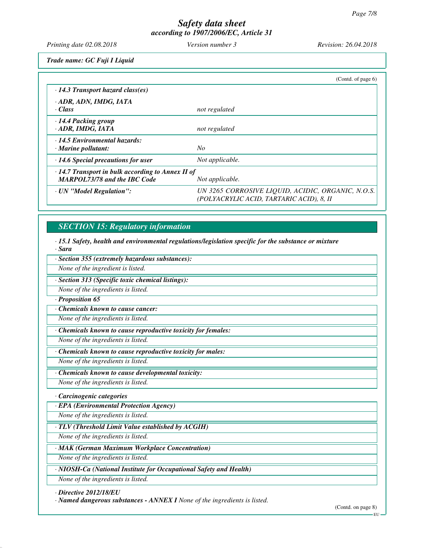*Printing date 02.08.2018 Version number 3 Revision: 26.04.2018*

*Trade name: GC Fuji I Liquid*

|                                                                                                | (Contd. of page $6$ )                                                                         |
|------------------------------------------------------------------------------------------------|-----------------------------------------------------------------------------------------------|
| $\cdot$ 14.3 Transport hazard class(es)                                                        |                                                                                               |
| · ADR, ADN, IMDG, IATA<br>· Class                                                              | not regulated                                                                                 |
| · 14.4 Packing group<br>· ADR, IMDG, IATA                                                      | not regulated                                                                                 |
| · 14.5 Environmental hazards:<br>$\cdot$ Marine pollutant:                                     | No                                                                                            |
| $\cdot$ 14.6 Special precautions for user                                                      | Not applicable.                                                                               |
| $\cdot$ 14.7 Transport in bulk according to Annex II of<br><b>MARPOL73/78 and the IBC Code</b> | Not applicable.                                                                               |
| · UN "Model Regulation":                                                                       | UN 3265 CORROSIVE LIQUID, ACIDIC, ORGANIC, N.O.S.<br>(POLYACRYLIC ACID, TARTARIC ACID), 8, II |

# *SECTION 15: Regulatory information*

*· 15.1 Safety, health and environmental regulations/legislation specific for the substance or mixture · Sara*

| · Section 355 (extremely hazardous substances):                    |  |
|--------------------------------------------------------------------|--|
| None of the ingredient is listed.                                  |  |
| · Section 313 (Specific toxic chemical listings):                  |  |
| None of the ingredients is listed.                                 |  |
| · Proposition 65                                                   |  |
| Chemicals known to cause cancer:                                   |  |
| None of the ingredients is listed.                                 |  |
| Chemicals known to cause reproductive toxicity for females:        |  |
| None of the ingredients is listed.                                 |  |
| Chemicals known to cause reproductive toxicity for males:          |  |
| None of the ingredients is listed.                                 |  |
| Chemicals known to cause developmental toxicity:                   |  |
| None of the ingredients is listed.                                 |  |
| · Carcinogenic categories                                          |  |
| · EPA (Environmental Protection Agency)                            |  |
| None of the ingredients is listed.                                 |  |
| $\cdot$ TLV (Threshold Limit Value established by ACGIH)           |  |
| None of the ingredients is listed.                                 |  |
| · MAK (German Maximum Workplace Concentration)                     |  |
| None of the ingredients is listed.                                 |  |
| · NIOSH-Ca (National Institute for Occupational Safety and Health) |  |
| None of the ingredients is listed.                                 |  |

*· Directive 2012/18/EU*

*· Named dangerous substances - ANNEX I None of the ingredients is listed.*